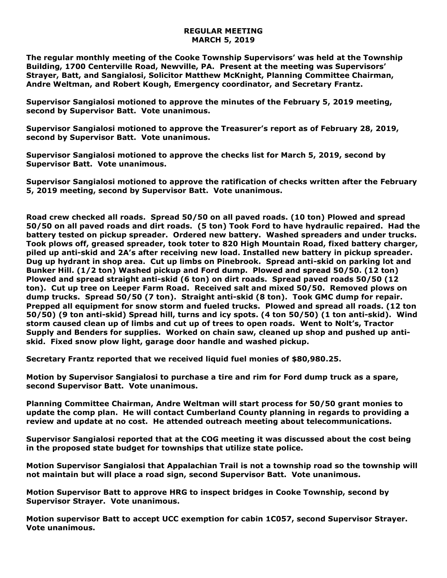## **REGULAR MEETING MARCH 5, 2019**

**The regular monthly meeting of the Cooke Township Supervisors' was held at the Township Building, 1700 Centerville Road, Newville, PA. Present at the meeting was Supervisors' Strayer, Batt, and Sangialosi, Solicitor Matthew McKnight, Planning Committee Chairman, Andre Weltman, and Robert Kough, Emergency coordinator, and Secretary Frantz.** 

**Supervisor Sangialosi motioned to approve the minutes of the February 5, 2019 meeting, second by Supervisor Batt. Vote unanimous.** 

**Supervisor Sangialosi motioned to approve the Treasurer's report as of February 28, 2019, second by Supervisor Batt. Vote unanimous.**

**Supervisor Sangialosi motioned to approve the checks list for March 5, 2019, second by Supervisor Batt. Vote unanimous.**

**Supervisor Sangialosi motioned to approve the ratification of checks written after the February 5, 2019 meeting, second by Supervisor Batt. Vote unanimous.**

**Road crew checked all roads. Spread 50/50 on all paved roads. (10 ton) Plowed and spread 50/50 on all paved roads and dirt roads. (5 ton) Took Ford to have hydraulic repaired. Had the battery tested on pickup spreader. Ordered new battery. Washed spreaders and under trucks. Took plows off, greased spreader, took toter to 820 High Mountain Road, fixed battery charger, piled up anti-skid and 2A's after receiving new load. Installed new battery in pickup spreader. Dug up hydrant in shop area. Cut up limbs on Pinebrook. Spread anti-skid on parking lot and Bunker Hill. (1/2 ton) Washed pickup and Ford dump. Plowed and spread 50/50. (12 ton) Plowed and spread straight anti-skid (6 ton) on dirt roads. Spread paved roads 50/50 (12 ton). Cut up tree on Leeper Farm Road. Received salt and mixed 50/50. Removed plows on dump trucks. Spread 50/50 (7 ton). Straight anti-skid (8 ton). Took GMC dump for repair. Prepped all equipment for snow storm and fueled trucks. Plowed and spread all roads. (12 ton 50/50) (9 ton anti-skid) Spread hill, turns and icy spots. (4 ton 50/50) (1 ton anti-skid). Wind storm caused clean up of limbs and cut up of trees to open roads. Went to Nolt's, Tractor Supply and Benders for supplies. Worked on chain saw, cleaned up shop and pushed up antiskid. Fixed snow plow light, garage door handle and washed pickup.**

**Secretary Frantz reported that we received liquid fuel monies of \$80,980.25.** 

**Motion by Supervisor Sangialosi to purchase a tire and rim for Ford dump truck as a spare, second Supervisor Batt. Vote unanimous.**

**Planning Committee Chairman, Andre Weltman will start process for 50/50 grant monies to update the comp plan. He will contact Cumberland County planning in regards to providing a review and update at no cost. He attended outreach meeting about telecommunications.** 

**Supervisor Sangialosi reported that at the COG meeting it was discussed about the cost being in the proposed state budget for townships that utilize state police.**

**Motion Supervisor Sangialosi that Appalachian Trail is not a township road so the township will not maintain but will place a road sign, second Supervisor Batt. Vote unanimous.**

**Motion Supervisor Batt to approve HRG to inspect bridges in Cooke Township, second by Supervisor Strayer. Vote unanimous.**

**Motion supervisor Batt to accept UCC exemption for cabin 1C057, second Supervisor Strayer. Vote unanimous.**